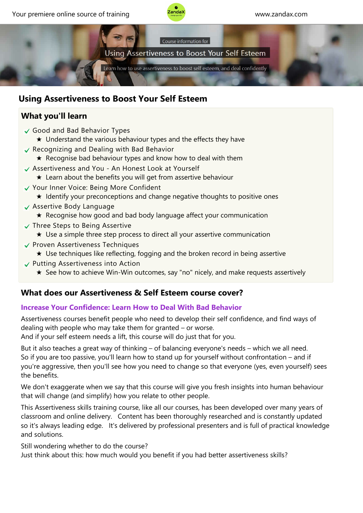



# **Using Assertiveness to Boost Your Self Esteem**

# **What you'll learn**

- Good and Bad Behavior Types
	- ★ Understand the various behaviour types and the effects they have
- $\checkmark$  Recognizing and Dealing with Bad Behavior
	- $\star$  Recognise bad behaviour types and know how to deal with them
- Assertiveness and You ‐ An Honest Look at Yourself
	- $\star$  Learn about the benefits you will get from assertive behaviour
- Your Inner Voice: Being More Confident
	- ★ Identify your preconceptions and change negative thoughts to positive ones
- Assertive Body Language
	- ★ Recognise how good and bad body language affect your communication
- $\checkmark$  Three Steps to Being Assertive
	- ★ Use a simple three step process to direct all your assertive communication
- Proven Assertiveness Techniques
	- ★ Use techniques like reflecting, fogging and the broken record in being assertive
- Putting Assertiveness into Action
	- ★ See how to achieve Win‐Win outcomes, say "no" nicely, and make requests assertively

## **What does our Assertiveness & Self Esteem course cover?**

#### **Increase Your Confidence: Learn How to Deal With Bad Behavior**

Assertiveness courses benefit people who need to develop their self confidence, and find ways of dealing with people who may take them for granted – or worse.

And if your self esteem needs a lift, this course will do just that for you.

But it also teaches a great way of thinking – of balancing everyone's needs – which we all need. So if you are too passive, you'll learn how to stand up for yourself without confrontation – and if you're aggressive, then you'll see how you need to change so that everyone (yes, even yourself) sees the benefits.

We don't exaggerate when we say that this course will give you fresh insights into human behaviour that will change (and simplify) how you relate to other people.

This Assertiveness skills training course, like all our courses, has been developed over many years of classroom and online delivery. Content has been thoroughly researched and is constantly updated so it's always leading edge. It's delivered by professional presenters and is full of practical knowledge and solutions.

Still wondering whether to do the course?

Just think about this: how much would you benefit if you had better assertiveness skills?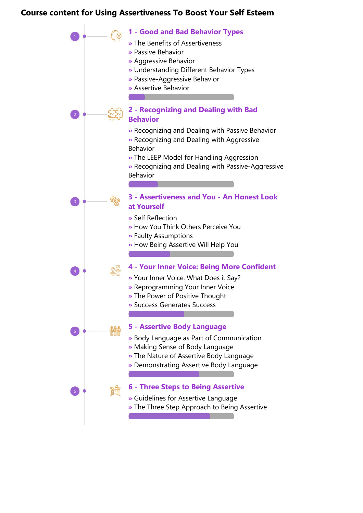### **Course content for Using Assertiveness To Boost Your Self Esteem**

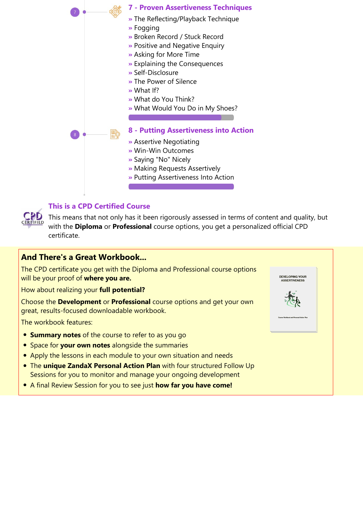



#### **This is a CPD Certified Course**

This means that not only has it been rigorously assessed in terms of content and quality, but with the **Diploma** or **Professional** course options, you get a personalized official CPD certificate.

### **And There's a Great Workbook...**

The CPD certificate you get with the Diploma and Professional course options will be your proof of **where you are.**

How about realizing your **full potential?**

Choose the **Development** or **Professional** course options and get your own great, results‐focused downloadable workbook.

The workbook features:

- **Summary notes** of the course to refer to as you go
- **•** Space for your own notes alongside the summaries
- Apply the lessons in each module to your own situation and needs
- The **unique ZandaX Personal Action Plan** with four structured Follow Up Sessions for you to monitor and manage your ongoing development
- A final Review Session for you to see just **how far you have come!**

DEVELOPING YOUR **COLOTIVENI**